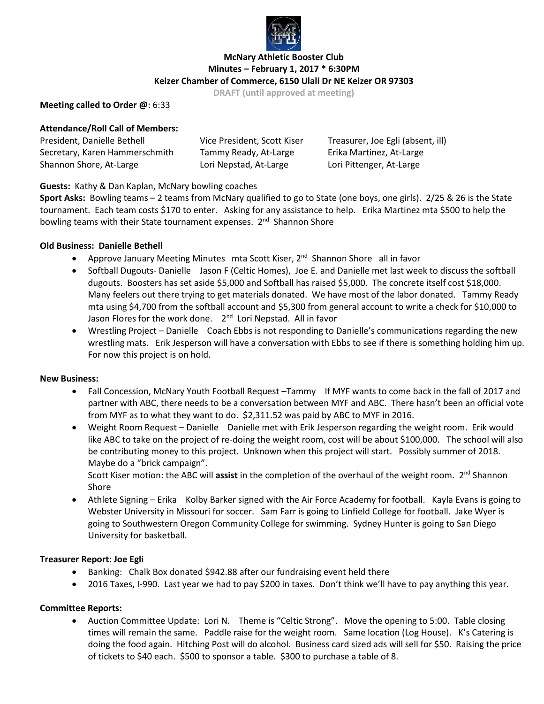

## **McNary Athletic Booster Club Minutes – February 1, 2017 \* 6:30PM Keizer Chamber of Commerce, 6150 Ulali Dr NE Keizer OR 97303**

**DRAFT (until approved at meeting)**

## **Meeting called to Order @**: 6:33

## **Attendance/Roll Call of Members:**

| President, Danielle Bethell    | Vice President, Scott Kiser | Treasurer, Joe Egli (absent, ill) |
|--------------------------------|-----------------------------|-----------------------------------|
| Secretary, Karen Hammerschmith | Tammy Ready, At-Large       | Erika Martinez, At-Large          |
| Shannon Shore, At-Large        | Lori Nepstad, At-Large      | Lori Pittenger, At-Large          |

## **Guests:** Kathy & Dan Kaplan, McNary bowling coaches

**Sport Asks:** Bowling teams – 2 teams from McNary qualified to go to State (one boys, one girls). 2/25 & 26 is the State tournament. Each team costs \$170 to enter. Asking for any assistance to help. Erika Martinez mta \$500 to help the bowling teams with their State tournament expenses. 2<sup>nd</sup> Shannon Shore

## **Old Business: Danielle Bethell**

- Approve January Meeting Minutes mta Scott Kiser, 2<sup>nd</sup> Shannon Shore all in favor
- Softball Dugouts- Danielle Jason F (Celtic Homes), Joe E. and Danielle met last week to discuss the softball dugouts. Boosters has set aside \$5,000 and Softball has raised \$5,000. The concrete itself cost \$18,000. Many feelers out there trying to get materials donated. We have most of the labor donated. Tammy Ready mta using \$4,700 from the softball account and \$5,300 from general account to write a check for \$10,000 to Jason Flores for the work done. 2<sup>nd</sup> Lori Nepstad. All in favor
- Wrestling Project Danielle Coach Ebbs is not responding to Danielle's communications regarding the new wrestling mats. Erik Jesperson will have a conversation with Ebbs to see if there is something holding him up. For now this project is on hold.

#### **New Business:**

- Fall Concession, McNary Youth Football Request –Tammy If MYF wants to come back in the fall of 2017 and partner with ABC, there needs to be a conversation between MYF and ABC. There hasn't been an official vote from MYF as to what they want to do. \$2,311.52 was paid by ABC to MYF in 2016.
- Weight Room Request Danielle Danielle met with Erik Jesperson regarding the weight room. Erik would like ABC to take on the project of re-doing the weight room, cost will be about \$100,000. The school will also be contributing money to this project. Unknown when this project will start. Possibly summer of 2018. Maybe do a "brick campaign".

Scott Kiser motion: the ABC will assist in the completion of the overhaul of the weight room. 2<sup>nd</sup> Shannon Shore

• Athlete Signing – Erika Kolby Barker signed with the Air Force Academy for football. Kayla Evans is going to Webster University in Missouri for soccer. Sam Farr is going to Linfield College for football. Jake Wyer is going to Southwestern Oregon Community College for swimming. Sydney Hunter is going to San Diego University for basketball.

#### **Treasurer Report: Joe Egli**

- Banking: Chalk Box donated \$942.88 after our fundraising event held there
- 2016 Taxes, I-990. Last year we had to pay \$200 in taxes. Don't think we'll have to pay anything this year.

#### **Committee Reports:**

• Auction Committee Update: Lori N. Theme is "Celtic Strong". Move the opening to 5:00. Table closing times will remain the same. Paddle raise for the weight room. Same location (Log House). K's Catering is doing the food again. Hitching Post will do alcohol. Business card sized ads will sell for \$50. Raising the price of tickets to \$40 each. \$500 to sponsor a table. \$300 to purchase a table of 8.